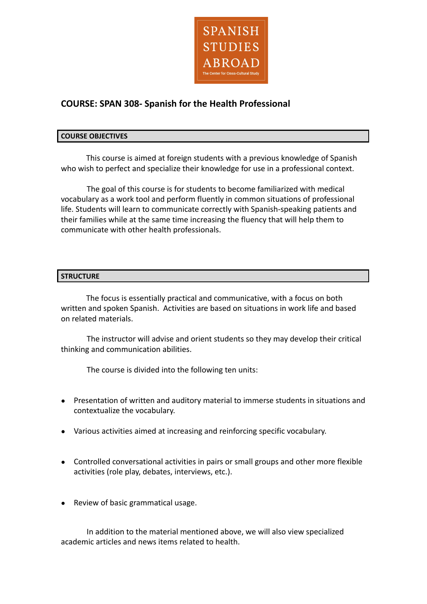

# **COURSE: SPAN 308- Spanish for the Health Professional**

### **COURSE OBJECTIVES**

This course is aimed at foreign students with a previous knowledge of Spanish who wish to perfect and specialize their knowledge for use in a professional context.

The goal of this course is for students to become familiarized with medical vocabulary as a work tool and perform fluently in common situations of professional life. Students will learn to communicate correctly with Spanish-speaking patients and their families while at the same time increasing the fluency that will help them to communicate with other health professionals.

## **STRUCTURE**

The focus is essentially practical and communicative, with a focus on both written and spoken Spanish. Activities are based on situations in work life and based on related materials.

The instructor will advise and orient students so they may develop their critical thinking and communication abilities.

The course is divided into the following ten units:

- Presentation of written and auditory material to immerse students in situations and contextualize the vocabulary.
- Various activities aimed at increasing and reinforcing specific vocabulary.
- Controlled conversational activities in pairs or small groups and other more flexible activities (role play, debates, interviews, etc.).
- Review of basic grammatical usage.

In addition to the material mentioned above, we will also view specialized academic articles and news items related to health.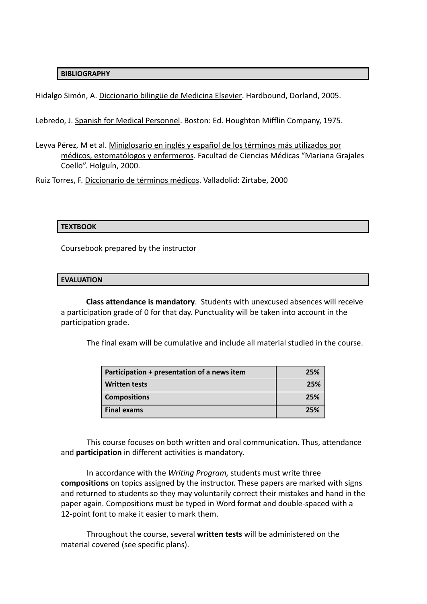### **BIBLIOGRAPHY**

Hidalgo Simón, A. Diccionario bilingüe de Medicina Elsevier. Hardbound, Dorland, 2005.

Lebredo, J. Spanish for Medical Personnel. Boston: Ed. Houghton Mifflin Company, 1975.

Leyva Pérez, M et al. Miniglosario en inglés y español de los términos más utilizados por médicos, estomatólogos y enfermeros. Facultad de Ciencias Médicas "Mariana Grajales Coello". Holguín, 2000.

Ruiz Torres, F. Diccionario de términos médicos. Valladolid: Zirtabe, 2000

### **TEXTBOOK**

Coursebook prepared by the instructor

#### **EVALUATION**

**Class attendance is mandatory**. Students with unexcused absences will receive a participation grade of 0 for that day. Punctuality will be taken into account in the participation grade.

The final exam will be cumulative and include all material studied in the course.

| Participation + presentation of a news item | 25% |
|---------------------------------------------|-----|
| <b>Written tests</b>                        | 25% |
| <b>Compositions</b>                         | 25% |
| Final exams                                 | 25% |

This course focuses on both written and oral communication. Thus, attendance and **participation** in different activities is mandatory.

In accordance with the *Writing Program,* students must write three **compositions** on topics assigned by the instructor. These papers are marked with signs and returned to students so they may voluntarily correct their mistakes and hand in the paper again. Compositions must be typed in Word format and double-spaced with a 12-point font to make it easier to mark them.

Throughout the course, several **written tests** will be administered on the material covered (see specific plans).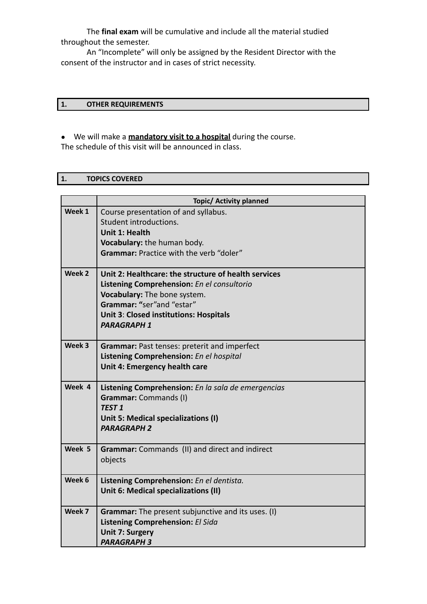The **final exam** will be cumulative and include all the material studied throughout the semester.

An "Incomplete" will only be assigned by the Resident Director with the consent of the instructor and in cases of strict necessity.

# **1. OTHER REQUIREMENTS**

● We will make a **mandatory visit to a hospital** during the course. The schedule of this visit will be announced in class.

|                   | <b>Topic/ Activity planned</b>                       |
|-------------------|------------------------------------------------------|
| Week 1            | Course presentation of and syllabus.                 |
|                   | Student introductions.                               |
|                   | <b>Unit 1: Health</b>                                |
|                   | Vocabulary: the human body.                          |
|                   | <b>Grammar: Practice with the verb "doler"</b>       |
| Week 2            | Unit 2: Healthcare: the structure of health services |
|                   | Listening Comprehension: En el consultorio           |
|                   | Vocabulary: The bone system.                         |
|                   | Grammar: "ser"and "estar"                            |
|                   | Unit 3: Closed institutions: Hospitals               |
|                   | <b>PARAGRAPH 1</b>                                   |
| Week <sub>3</sub> | Grammar: Past tenses: preterit and imperfect         |
|                   | Listening Comprehension: En el hospital              |
|                   | Unit 4: Emergency health care                        |
| Week 4            | Listening Comprehension: En la sala de emergencias   |
|                   | Grammar: Commands (I)                                |
|                   | <b>TEST 1</b>                                        |
|                   | Unit 5: Medical specializations (I)                  |
|                   | <b>PARAGRAPH 2</b>                                   |
| Week 5            | Grammar: Commands (II) and direct and indirect       |
|                   | objects                                              |
| Week 6            | Listening Comprehension: En el dentista.             |
|                   | Unit 6: Medical specializations (II)                 |
|                   |                                                      |
| Week 7            | Grammar: The present subjunctive and its uses. (I)   |
|                   | Listening Comprehension: El Sida                     |
|                   | <b>Unit 7: Surgery</b>                               |
|                   | <b>PARAGRAPH 3</b>                                   |